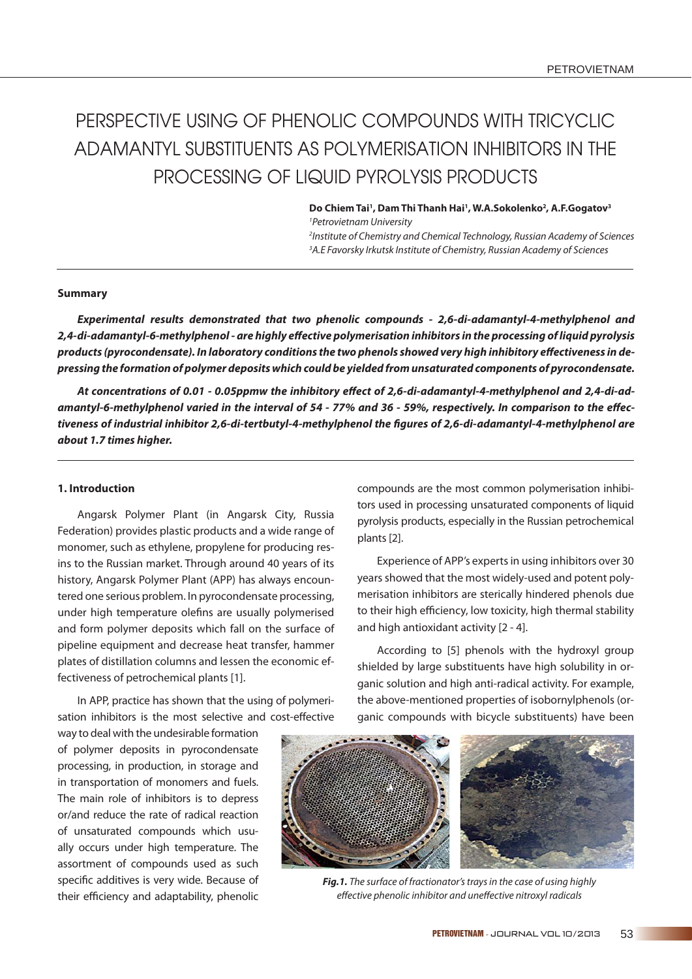# PERSPECTIVE USING OF PHENOLIC COMPOUNDS WITH TRICYCLIC ADAMANTYL SUBSTITUENTS AS POLYMERISATION INHIBITORS IN THE PROCESSING OF LIQUID PYROLYSIS PRODUCTS

Do Chiem Tai<sup>1</sup>, Dam Thi Thanh Hai<sup>1</sup>, W.A.Sokolenko<sup>2</sup>, A.F.Gogatov<sup>3</sup> 1 Petrovietnam University 2 Institute of Chemistry and Chemical Technology, Russian Academy of Sciences <sup>3</sup>A.E Favorsky Irkutsk Institute of Chemistry, Russian Academy of Sciences

#### **Summary**

*Experimental results demonstrated that two phenolic compounds - 2,6-di-adamantyl-4-methylphenol and 2,4-di-adamantyl-6-methylphenol - are highly eff ective polymerisation inhibitors in the processing of liquid pyrolysis*  products (pyrocondensate). In laboratory conditions the two phenols showed very high inhibitory effectiveness in de*pressing the formation of polymer deposits which could be yielded from unsaturated components of pyrocondensate.* 

At concentrations of 0.01 - 0.05ppmw the inhibitory effect of 2,6-di-adamantyl-4-methylphenol and 2,4-di-adamantyl-6-methylphenol varied in the interval of 54 - 77% and 36 - 59%, respectively. In comparison to the effectiveness of industrial inhibitor 2,6-di-tertbutyl-4-methylphenol the figures of 2,6-di-adamantyl-4-methylphenol are *about 1.7 times higher.* 

# **1. Introduction**

Angarsk Polymer Plant (in Angarsk City, Russia Federation) provides plastic products and a wide range of monomer, such as ethylene, propylene for producing resins to the Russian market. Through around 40 years of its history, Angarsk Polymer Plant (APP) has always encountered one serious problem. In pyrocondensate processing, under high temperature olefins are usually polymerised and form polymer deposits which fall on the surface of pipeline equipment and decrease heat transfer, hammer plates of distillation columns and lessen the economic effectiveness of petrochemical plants [1].

In APP, practice has shown that the using of polymerisation inhibitors is the most selective and cost-effective

way to deal with the undesirable formation of polymer deposits in pyrocondensate processing, in production, in storage and in transportation of monomers and fuels. The main role of inhibitors is to depress or/and reduce the rate of radical reaction of unsaturated compounds which usually occurs under high temperature. The assortment of compounds used as such specific additives is very wide. Because of their efficiency and adaptability, phenolic

compounds are the most common polymerisation inhibitors used in processing unsaturated components of liquid pyrolysis products, especially in the Russian petrochemical plants [2].

Experience of APP's experts in using inhibitors over 30 years showed that the most widely-used and potent polymerisation inhibitors are sterically hindered phenols due to their high efficiency, low toxicity, high thermal stability and high antioxidant activity [2 - 4].

According to [5] phenols with the hydroxyl group shielded by large substituents have high solubility in organic solution and high anti-radical activity. For example, the above-mentioned properties of isobornylphenols (organic compounds with bicycle substituents) have been



*Fig.1.* The surface of fractionator's trays in the case of using highly effective phenolic inhibitor and uneffective nitroxyl radicals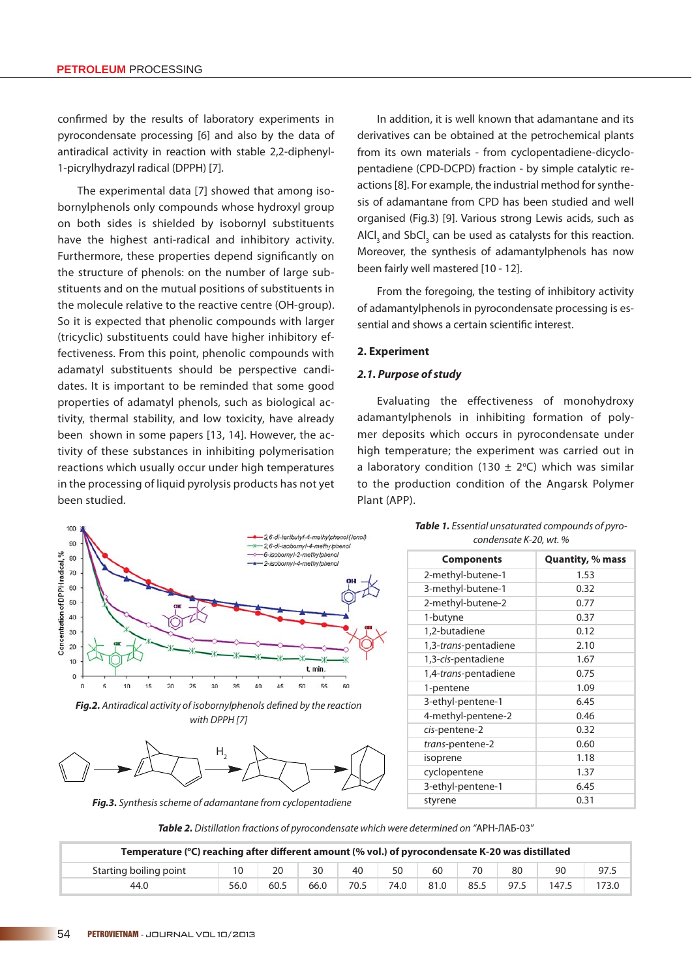confirmed by the results of laboratory experiments in pyrocondensate processing [6] and also by the data of antiradical activity in reaction with stable 2,2-diphenyl-1-picrylhydrazyl radical (DPPH) [7].

The experimental data [7] showed that among isobornylphenols only compounds whose hydroxyl group on both sides is shielded by isobornyl substituents have the highest anti-radical and inhibitory activity. Furthermore, these properties depend significantly on the structure of phenols: on the number of large substituents and on the mutual positions of substituents in the molecule relative to the reactive centre (OH-group). So it is expected that phenolic compounds with larger (tricyclic) substituents could have higher inhibitory effectiveness. From this point, phenolic compounds with adamatyl substituents should be perspective candidates. It is important to be reminded that some good properties of adamatyl phenols, such as biological activity, thermal stability, and low toxicity, have already been shown in some papers [13, 14]. However, the activity of these substances in inhibiting polymerisation reactions which usually occur under high temperatures in the processing of liquid pyrolysis products has not yet been studied.

In addition, it is well known that adamantane and its derivatives can be obtained at the petrochemical plants from its own materials - from cyclopentadiene-dicyclopentadiene (CPD-DCPD) fraction - by simple catalytic reactions [8]. For example, the industrial method for synthesis of adamantane from CPD has been studied and well organised (Fig.3) [9]. Various strong Lewis acids, such as  $\textsf{AICI}_3$  and SbCI<sub>3</sub> can be used as catalysts for this reaction. Moreover, the synthesis of adamantylphenols has now been fairly well mastered [10 - 12].

From the foregoing, the testing of inhibitory activity of adamantylphenols in pyrocondensate processing is essential and shows a certain scientific interest.

#### **2. Experiment**

#### *2.1. Purpose of study*

Evaluating the effectiveness of monohydroxy adamantylphenols in inhibiting formation of polymer deposits which occurs in pyrocondensate under high temperature; the experiment was carried out in a laboratory condition (130  $\pm$  2°C) which was similar to the production condition of the Angarsk Polymer Plant (APP).



Fig.2. Antiradical activity of isobornylphenols defined by the reaction with DPPH [7]



*Fig.3.* Synthesis scheme of adamantane from cyclopentadiene

*Table 1.* Essential unsaturated compounds of pyrocondensate K-20, wt. %

| <b>Components</b>             | <b>Quantity, % mass</b> |
|-------------------------------|-------------------------|
| 2-methyl-butene-1             | 1.53                    |
| 3-methyl-butene-1             | 0.32                    |
| 2-methyl-butene-2             | 0.77                    |
| 1-butyne                      | 0.37                    |
| 1,2-butadiene                 | 0.12                    |
| 1,3- <i>trans</i> -pentadiene | 2.10                    |
| 1,3-cis-pentadiene            | 1.67                    |
| 1,4- <i>trans</i> -pentadiene | 0.75                    |
| 1-pentene                     | 1.09                    |
| 3-ethyl-pentene-1             | 6.45                    |
| 4-methyl-pentene-2            | 0.46                    |
| cis-pentene-2                 | 0.32                    |
| trans-pentene-2               | 0.60                    |
| isoprene                      | 1.18                    |
| cyclopentene                  | 1.37                    |
| 3-ethyl-pentene-1             | 6.45                    |
| styrene                       | 0.31                    |

*Table 2.* Distillation fractions of pyrocondensate which were determined on "АРН-ЛАБ-03"

| Temperature (°C) reaching after different amount (% vol.) of pyrocondensate K-20 was distillated |      |      |      |      |      |      |      |      |       |      |
|--------------------------------------------------------------------------------------------------|------|------|------|------|------|------|------|------|-------|------|
| Starting boiling point                                                                           |      | 20   | 30   | 40   | 50   | 60   | 70   | 80   | 90    | 97.3 |
| 44.0                                                                                             | 56.0 | 60.5 | 66.0 | 70.5 | 74.0 | 81.0 | 85.5 | 97.5 | 147.5 |      |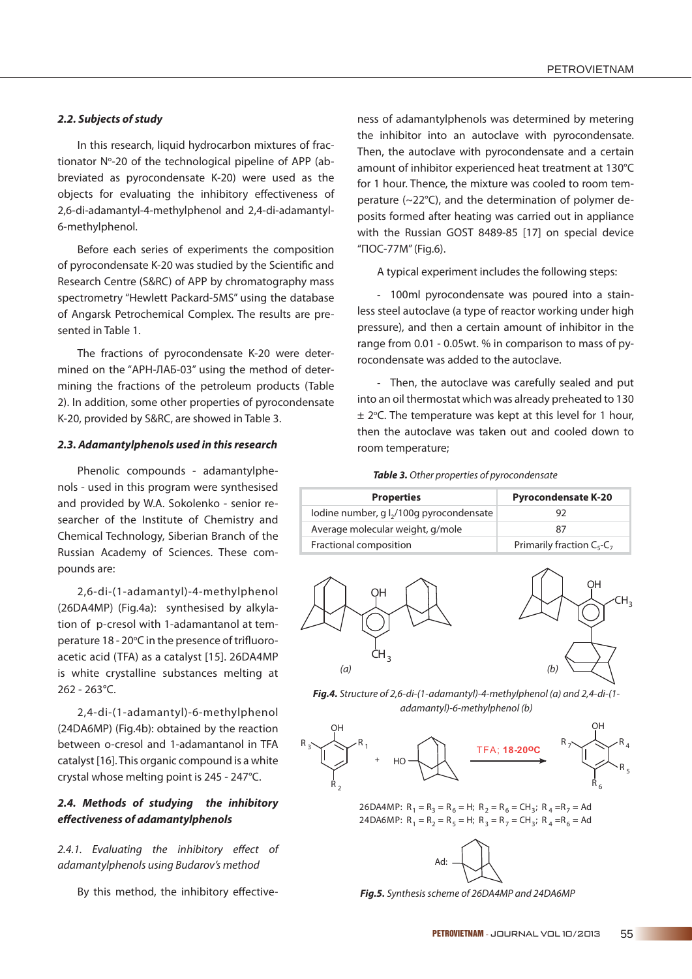$CH<sub>3</sub>$ 

## *2.2. Subjects of study*

In this research, liquid hydrocarbon mixtures of fractionator Nº-20 of the technological pipeline of APP (abbreviated as pyrocondensate K-20) were used as the objects for evaluating the inhibitory effectiveness of 2,6-di-adamantyl-4-methylphenol and 2,4-di-adamantyl-6-methylphenol.

Before each series of experiments the composition of pyrocondensate K-20 was studied by the Scientific and Research Centre (S&RC) of APP by chromatography mass spectrometry "Hewlett Packard-5MS" using the database of Angarsk Petrochemical Complex. The results are presented in Table 1.

The fractions of pyrocondensate K-20 were determined on the "АРН-ЛАБ-03" using the method of determining the fractions of the petroleum products (Table 2). In addition, some other properties of pyrocondensate K-20, provided by S&RC, are showed in Table 3.

#### *2.3. Adamantylphenols used in this research*

Phenolic compounds - adamantylphenols - used in this program were synthesised and provided by W.A. Sokolenko - senior researcher of the Institute of Chemistry and Chemical Technology, Siberian Branch of the Russian Academy of Sciences. These compounds are:

2,6-di-(1-adamantyl)-4-methylphenol (26DA4MP) (Fig.4a): synthesised by alkylation of p-cresol with 1-adamantanol at temperature 18 - 20°C in the presence of trifluoroacetic acid (TFA) as a catalyst [15]. 26DA4MP is white crystalline substances melting at 262 - 263°C.

2,4-di-(1-adamantyl)-6-methylphenol (24DA6MP) (Fig.4b): obtained by the reaction between o-cresol and 1-adamantanol in TFA catalyst [16]. This organic compound is a white crystal whose melting point is 245 - 247°C.

# *2.4. Methods of studying the inhibitory eff ectiveness of adamantylphenols*

2.4.1. Evaluating the inhibitory effect of adamantylphenols using Budarov's method

By this method, the inhibitory effective-

ness of adamantylphenols was determined by metering the inhibitor into an autoclave with pyrocondensate. Then, the autoclave with pyrocondensate and a certain amount of inhibitor experienced heat treatment at 130°C for 1 hour. Thence, the mixture was cooled to room temperature (~22°C), and the determination of polymer deposits formed after heating was carried out in appliance with the Russian GOST 8489-85 [17] on special device "ПОС-77М" (Fig.6).

A typical experiment includes the following steps:

- 100ml pyrocondensate was poured into a stainless steel autoclave (a type of reactor working under high pressure), and then a certain amount of inhibitor in the range from 0.01 - 0.05wt. % in comparison to mass of pyrocondensate was added to the autoclave.

- Then, the autoclave was carefully sealed and put into an oil thermostat which was already preheated to 130  $\pm$  2°C. The temperature was kept at this level for 1 hour, then the autoclave was taken out and cooled down to room temperature;

*Table 3.* Other properties of pyrocondensate

| <b>Properties</b>                                    | <b>Pyrocondensate K-20</b>       |  |  |  |
|------------------------------------------------------|----------------------------------|--|--|--|
| lodine number, g l <sub>2</sub> /100g pyrocondensate |                                  |  |  |  |
| Average molecular weight, g/mole                     | 87                               |  |  |  |
| Fractional composition                               | Primarily fraction $C_5$ - $C_7$ |  |  |  |



*Fig.4.* Structure of 2,6-di-(1-adamantyl)-4-methylphenol (a) and 2,4-di-(1 adamantyl)-6-methylphenol (b)



26DA4MP:  $R_1 = R_3 = R_6 = H$ ;  $R_2 = R_6 = CH_3$ ;  $R_4 = R_7 = Ad$ 24DA6MP:  $R_1 = R_2 = R_5 = H$ ;  $R_3 = R_7 = CH_3$ ;  $R_4 = R_6 = Ad$ 



*Fig.5.* Synthesis scheme of 26DA4MP and 24DA6MP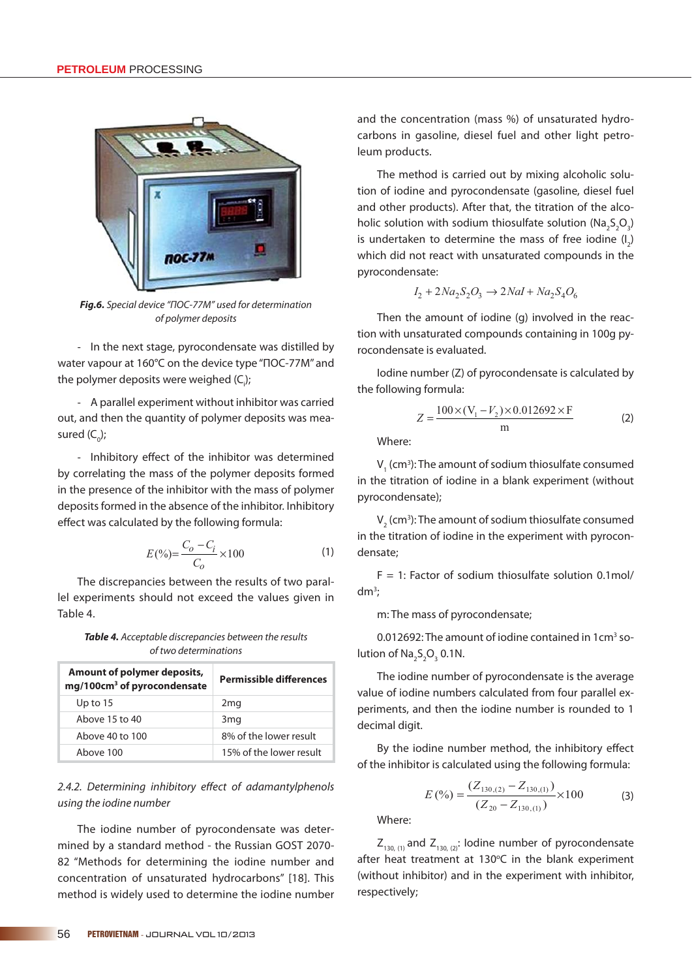

*Fig.6.* Special device "ПОС-77М" used for determination of polymer deposits

- In the next stage, pyrocondensate was distilled by water vapour at 160°C on the device type "ПОС-77М'' and the polymer deposits were weighed (C<sub>i</sub>);

- A parallel experiment without inhibitor was carried out, and then the quantity of polymer deposits was measured (C<sub>0</sub>);

- Inhibitory effect of the inhibitor was determined by correlating the mass of the polymer deposits formed in the presence of the inhibitor with the mass of polymer deposits formed in the absence of the inhibitor. Inhibitory effect was calculated by the following formula:

$$
E(\%) = \frac{C_o - C_i}{C_o} \times 100
$$
 (1)

The discrepancies between the results of two parallel experiments should not exceed the values given in Table 4.

*Table 4.* Acceptable discrepancies between the results of two determinations

| Amount of polymer deposits,<br>mg/100cm <sup>3</sup> of pyrocondensate | <b>Permissible differences</b> |
|------------------------------------------------------------------------|--------------------------------|
| Up to $15$                                                             | 2 <sub>mg</sub>                |
| Above 15 to 40                                                         | 3 <sub>mg</sub>                |
| Above 40 to 100                                                        | 8% of the lower result         |
| Above 100                                                              | 15% of the lower result        |

2.4.2. Determining inhibitory effect of adamantylphenols using the iodine number

The iodine number of pyrocondensate was determined by a standard method - the Russian GOST 2070- 82 "Methods for determining the iodine number and concentration of unsaturated hydrocarbons" [18]. This method is widely used to determine the iodine number and the concentration (mass %) of unsaturated hydrocarbons in gasoline, diesel fuel and other light petroleum products.

The method is carried out by mixing alcoholic solution of iodine and pyrocondensate (gasoline, diesel fuel and other products). After that, the titration of the alcoholic solution with sodium thiosulfate solution ( $Na<sub>2</sub>S<sub>2</sub>O<sub>3</sub>$ ) is undertaken to determine the mass of free iodine  $(I_2)$ which did not react with unsaturated compounds in the pyrocondensate:

$$
I_2 + 2Na_2S_2O_3 \rightarrow 2Nal + Na_2S_4O_6
$$

Then the amount of iodine (g) involved in the reaction with unsaturated compounds containing in 100g pyrocondensate is evaluated.

Iodine number (Z) of pyrocondensate is calculated by the following formula:

$$
Z = \frac{100 \times (V_1 - V_2) \times 0.012692 \times F}{m}
$$
 (2)

Where:

 $V<sub>1</sub>$  (cm<sup>3</sup>): The amount of sodium thiosulfate consumed in the titration of iodine in a blank experiment (without pyrocondensate);

 $V<sub>2</sub>$  (cm<sup>3</sup>): The amount of sodium thiosulfate consumed in the titration of iodine in the experiment with pyrocondensate;

 $F = 1$ : Factor of sodium thiosulfate solution 0.1mol/ dm3 ;

m: The mass of pyrocondensate;

0.012692: The amount of iodine contained in 1cm<sup>3</sup> solution of  $\text{Na}_2\text{S}_2\text{O}_3$  0.1N.

The iodine number of pyrocondensate is the average value of iodine numbers calculated from four parallel experiments, and then the iodine number is rounded to 1 decimal digit.

By the iodine number method, the inhibitory effect of the inhibitor is calculated using the following formula:

$$
E\left(\frac{\%}{\text{O}}\right) = \frac{(Z_{130,(2)} - Z_{130,(1)})}{(Z_{20} - Z_{130,(1)})} \times 100\tag{3}
$$

Where:

 $Z_{130, (1)}$  and  $Z_{130, (2)}$ : Iodine number of pyrocondensate after heat treatment at 130°C in the blank experiment (without inhibitor) and in the experiment with inhibitor, respectively;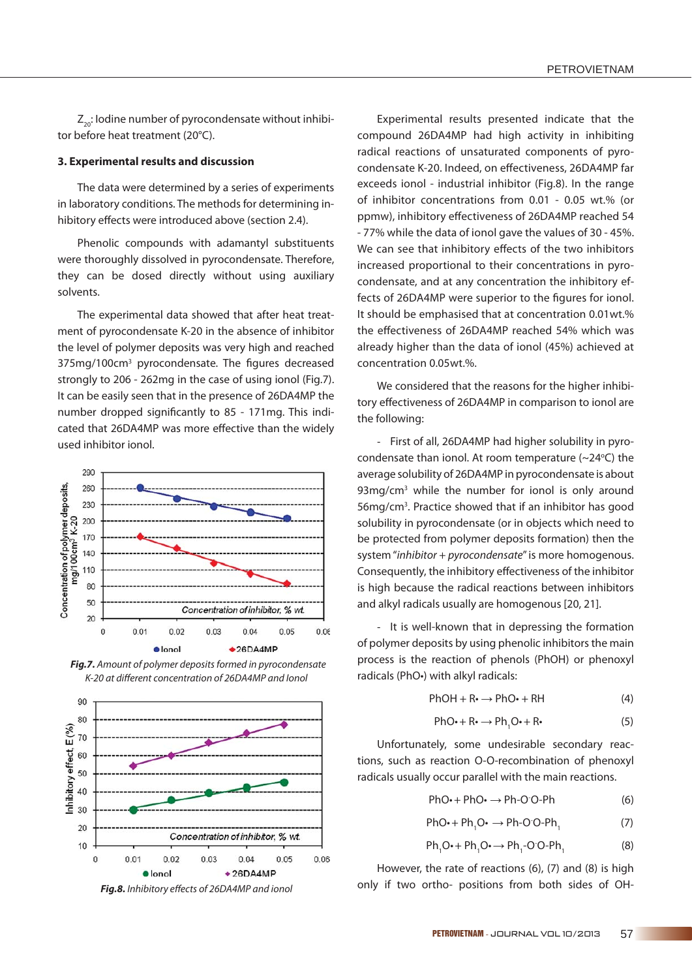$Z_{20}$ : Iodine number of pyrocondensate without inhibitor before heat treatment (20°C).

#### **3. Experimental results and discussion**

The data were determined by a series of experiments in laboratory conditions. The methods for determining inhibitory effects were introduced above (section 2.4).

Phenolic compounds with adamantyl substituents were thoroughly dissolved in pyrocondensate. Therefore, they can be dosed directly without using auxiliary solvents.

The experimental data showed that after heat treatment of pyrocondensate K-20 in the absence of inhibitor the level of polymer deposits was very high and reached 375mg/100cm<sup>3</sup> pyrocondensate. The figures decreased strongly to 206 - 262mg in the case of using ionol (Fig.7). It can be easily seen that in the presence of 26DA4MP the number dropped significantly to 85 - 171mg. This indicated that 26DA4MP was more effective than the widely used inhibitor ionol.



 *Fig.7.* Amount of polymer deposits formed in pyrocondensate K-20 at different concentration of 26DA4MP and lonol



Experimental results presented indicate that the compound 26DA4MP had high activity in inhibiting radical reactions of unsaturated components of pyrocondensate K-20. Indeed, on effectiveness, 26DA4MP far exceeds ionol - industrial inhibitor (Fig.8). In the range of inhibitor concentrations from 0.01 - 0.05 wt.% (or ppmw), inhibitory effectiveness of 26DA4MP reached 54 - 77% while the data of ionol gave the values of 30 - 45%. We can see that inhibitory effects of the two inhibitors increased proportional to their concentrations in pyrocondensate, and at any concentration the inhibitory effects of 26DA4MP were superior to the figures for ionol. It should be emphasised that at concentration 0.01wt.% the effectiveness of 26DA4MP reached 54% which was already higher than the data of ionol (45%) achieved at concentration 0.05wt.%.

We considered that the reasons for the higher inhibitory effectiveness of 26DA4MP in comparison to ionol are the following:

- First of all, 26DA4MP had higher solubility in pyrocondensate than ionol. At room temperature  $(\sim 24^{\circ}C)$  the average solubility of 26DA4MP in pyrocondensate is about 93mg/cm<sup>3</sup> while the number for ionol is only around 56mg/cm3 . Practice showed that if an inhibitor has good solubility in pyrocondensate (or in objects which need to be protected from polymer deposits formation) then the system "inhibitor + pyrocondensate" is more homogenous. Consequently, the inhibitory effectiveness of the inhibitor is high because the radical reactions between inhibitors and alkyl radicals usually are homogenous [20, 21].

- It is well-known that in depressing the formation of polymer deposits by using phenolic inhibitors the main process is the reaction of phenols (PhOH) or phenoxyl radicals (PhO•) with alkyl radicals:

 $PhOH + Re \rightarrow PhO+ RH$  (4)

$$
PhO\cdot + R\cdot \rightarrow Ph_1O\cdot + R\cdot
$$
 (5)

Unfortunately, some undesirable secondary reactions, such as reaction O-O-recombination of phenoxyl radicals usually occur parallel with the main reactions.

$$
PhO\cdot + PhO\cdot \rightarrow Ph-O-O-Ph
$$
 (6)

$$
PhO\cdot + Ph_1O\cdot \rightarrow Ph-O^{\cdot}O\cdot Ph_1
$$
 (7)

$$
Ph1O\bullet + Ph1O\bullet \rightarrow Ph1-O\cdot O\cdot Ph1
$$
 (8)

However, the rate of reactions (6), (7) and (8) is high only if two ortho- positions from both sides of OH-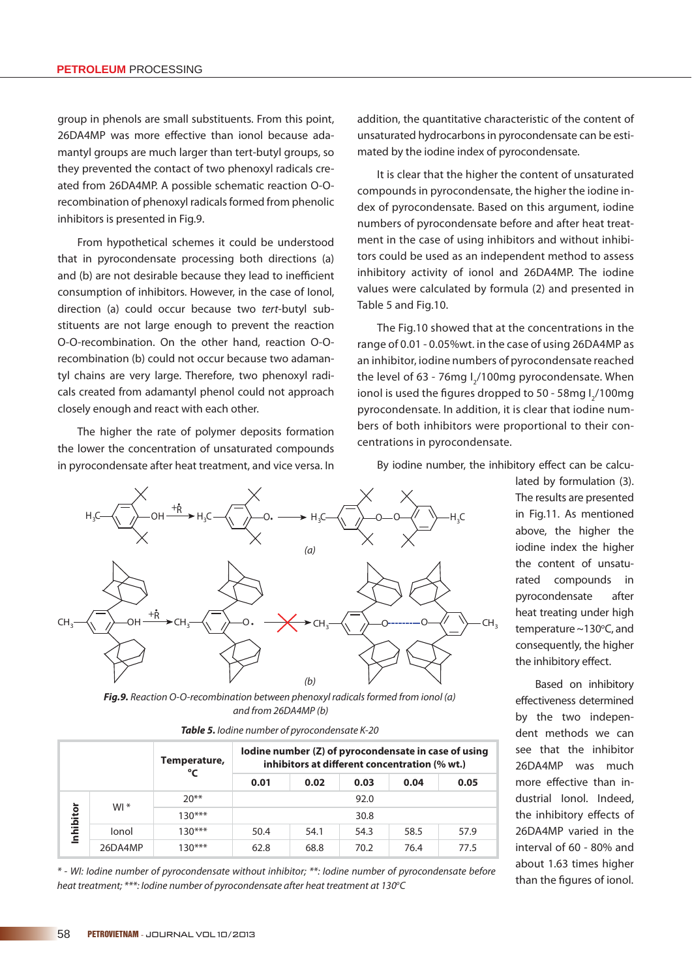group in phenols are small substituents. From this point, 26DA4MP was more effective than ionol because adamantyl groups are much larger than tert-butyl groups, so they prevented the contact of two phenoxyl radicals created from 26DA4MP. A possible schematic reaction O-Orecombination of phenoxyl radicals formed from phenolic inhibitors is presented in Fig.9.

From hypothetical schemes it could be understood that in pyrocondensate processing both directions (a) and (b) are not desirable because they lead to inefficient consumption of inhibitors. However, in the case of Ionol, direction (a) could occur because two tert-butyl substituents are not large enough to prevent the reaction O-O-recombination. On the other hand, reaction O-Orecombination (b) could not occur because two adamantyl chains are very large. Therefore, two phenoxyl radicals created from adamantyl phenol could not approach closely enough and react with each other.

The higher the rate of polymer deposits formation the lower the concentration of unsaturated compounds in pyrocondensate after heat treatment, and vice versa. In

addition, the quantitative characteristic of the content of unsaturated hydrocarbons in pyrocondensate can be estimated by the iodine index of pyrocondensate.

It is clear that the higher the content of unsaturated compounds in pyrocondensate, the higher the iodine index of pyrocondensate. Based on this argument, iodine numbers of pyrocondensate before and after heat treatment in the case of using inhibitors and without inhibitors could be used as an independent method to assess inhibitory activity of ionol and 26DA4MP. The iodine values were calculated by formula (2) and presented in Table 5 and Fig.10.

The Fig.10 showed that at the concentrations in the range of 0.01 - 0.05%wt. in the case of using 26DA4MP as an inhibitor, iodine numbers of pyrocondensate reached the level of 63 - 76mg  $I_2/100$ mg pyrocondensate. When ionol is used the figures dropped to 50 - 58mg l<sub>2</sub>/100mg pyrocondensate. In addition, it is clear that iodine numbers of both inhibitors were proportional to their concentrations in pyrocondensate.

By iodine number, the inhibitory effect can be calcu-



*Fig.9.* Reaction O-O-recombination between phenoxyl radicals formed from ionol (a) and from 26DA4MP (b)

| <b>Table 5.</b> lodine number of pyrocondensate K-20 |  |
|------------------------------------------------------|--|
|------------------------------------------------------|--|

|           |         | Temperature,<br>°C | lodine number (Z) of pyrocondensate in case of using<br>inhibitors at different concentration (% wt.) |      |      |      |      |  |
|-----------|---------|--------------------|-------------------------------------------------------------------------------------------------------|------|------|------|------|--|
|           |         |                    | 0.01                                                                                                  | 0.02 | 0.03 | 0.04 | 0.05 |  |
|           | $W1*$   | $20**$             | 92.0                                                                                                  |      |      |      |      |  |
| Inhibitor |         | $130***$           |                                                                                                       |      | 30.8 |      |      |  |
|           | lonol   | $130***$           | 50.4                                                                                                  | 54.1 | 54.3 | 58.5 | 57.9 |  |
|           | 26DA4MP | $130***$           | 62.8                                                                                                  | 68.8 | 70.2 | 76.4 | 77.5 |  |

\* - WI: Iodine number of pyrocondensate without inhibitor; \*\*: Iodine number of pyrocondensate before heat treatment; \*\*\*: lodine number of pyrocondensate after heat treatment at 130°C

lated by formulation (3). The results are presented in Fig.11. As mentioned above, the higher the iodine index the higher the content of unsaturated compounds in pyrocondensate after heat treating under high temperature  $\sim$  130 $\degree$ C, and consequently, the higher the inhibitory effect.

Based on inhibitory effectiveness determined by the two independent methods we can see that the inhibitor 26DA4MP was much more effective than industrial Ionol. Indeed, the inhibitory effects of 26DA4MP varied in the interval of 60 - 80% and about 1.63 times higher than the figures of ionol.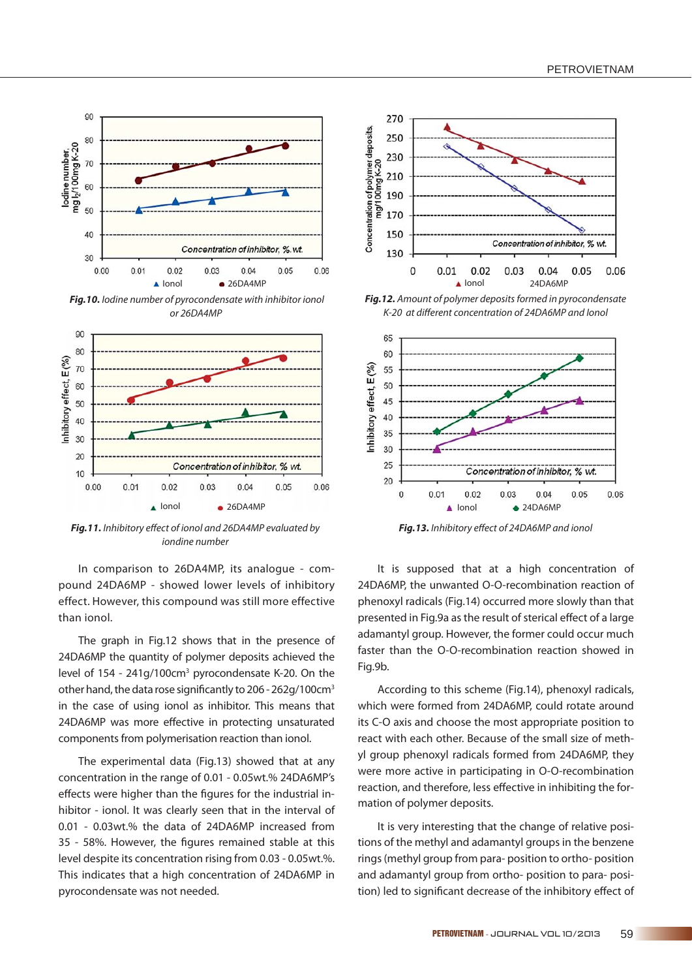

*Fig.10.* Iodine number of pyrocondensate with inhibitor ionol or 26DA4MP



Fig.11. Inhibitory effect of ionol and 26DA4MP evaluated by iondine number

In comparison to 26DA4MP, its analogue - compound 24DA6MP - showed lower levels of inhibitory effect. However, this compound was still more effective than ionol.

The graph in Fig.12 shows that in the presence of 24DA6MP the quantity of polymer deposits achieved the level of 154 - 241g/100cm<sup>3</sup> pyrocondensate K-20. On the other hand, the data rose significantly to 206 - 262g/100cm<sup>3</sup> in the case of using ionol as inhibitor. This means that 24DA6MP was more effective in protecting unsaturated components from polymerisation reaction than ionol.

The experimental data (Fig.13) showed that at any concentration in the range of 0.01 - 0.05wt.% 24DA6MP's effects were higher than the figures for the industrial inhibitor - ionol. It was clearly seen that in the interval of 0.01 - 0.03wt.% the data of 24DA6MP increased from 35 - 58%. However, the figures remained stable at this level despite its concentration rising from 0.03 - 0.05wt.%. This indicates that a high concentration of 24DA6MP in pyrocondensate was not needed.



*Fig.12.* Amount of polymer deposits formed in pyrocondensate K-20 at different concentration of 24DA6MP and lonol



Fig.13. Inhibitory effect of 24DA6MP and ionol

It is supposed that at a high concentration of 24DA6MP, the unwanted O-O-recombination reaction of phenoxyl radicals (Fig.14) occurred more slowly than that presented in Fig.9a as the result of sterical effect of a large adamantyl group. However, the former could occur much faster than the O-O-recombination reaction showed in Fig.9b.

According to this scheme (Fig.14), phenoxyl radicals, which were formed from 24DA6MP, could rotate around its C-O axis and choose the most appropriate position to react with each other. Because of the small size of methyl group phenoxyl radicals formed from 24DA6MP, they were more active in participating in O-O-recombination reaction, and therefore, less effective in inhibiting the formation of polymer deposits.

It is very interesting that the change of relative positions of the methyl and adamantyl groups in the benzene rings (methyl group from para- position to ortho- position and adamantyl group from ortho- position to para- position) led to significant decrease of the inhibitory effect of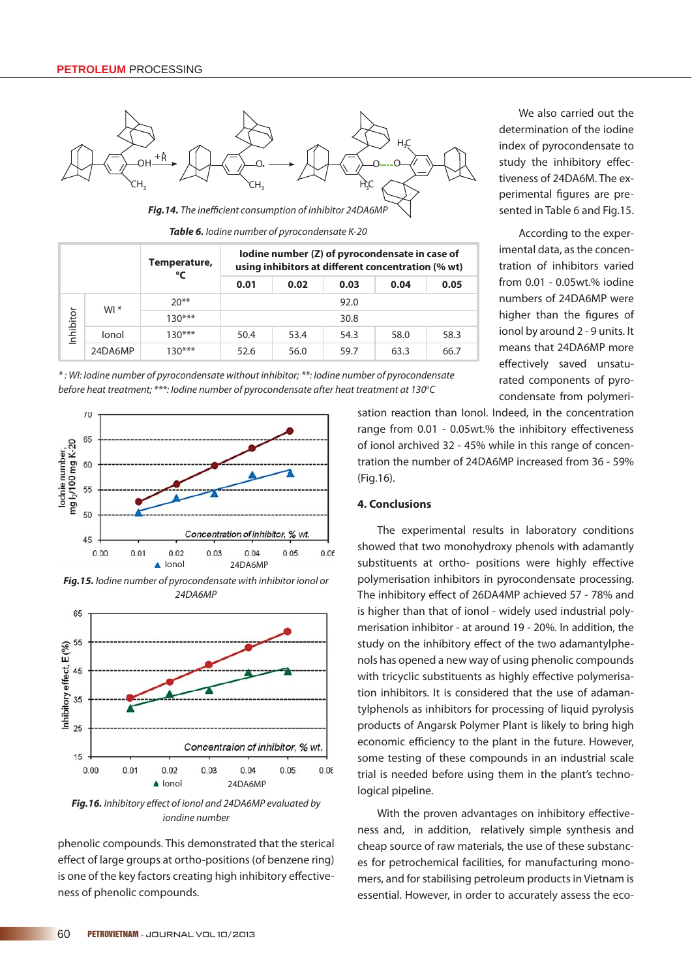

Fig.14. The inefficient consumption of inhibitor 24DA6MP

*Table 6.* Iodine number of pyrocondensate K-20

|           |         | Temperature,<br>°⊂ | lodine number (Z) of pyrocondensate in case of<br>using inhibitors at different concentration (% wt) |      |      |      |      |  |  |
|-----------|---------|--------------------|------------------------------------------------------------------------------------------------------|------|------|------|------|--|--|
|           |         |                    | 0.01                                                                                                 | 0.02 | 0.03 | 0.04 | 0.05 |  |  |
|           | $W1*$   | $20**$             | 92.0                                                                                                 |      |      |      |      |  |  |
| Inhibitor |         | $130***$           | 30.8                                                                                                 |      |      |      |      |  |  |
|           | lonol   | $130***$           | 50.4                                                                                                 | 53.4 | 54.3 | 58.0 | 58.3 |  |  |
|           | 24DA6MP | $130***$           | 52.6                                                                                                 | 56.0 | 59.7 | 63.3 | 66.7 |  |  |

\* : WI: Iodine number of pyrocondensate without inhibitor; \*\*: Iodine number of pyrocondensate before heat treatment; \*\*\*: lodine number of pyrocondensate after heat treatment at 130°C



*Fig.15.* Iodine number of pyrocondensate with inhibitor ionol or 24DA6MP



**Fig.16.** Inhibitory effect of ionol and 24DA6MP evaluated by iondine number

phenolic compounds. This demonstrated that the sterical effect of large groups at ortho-positions (of benzene ring) is one of the key factors creating high inhibitory effectiveness of phenolic compounds.

We also carried out the determination of the iodine index of pyrocondensate to study the inhibitory effectiveness of 24DA6M. The experimental figures are presented in Table 6 and Fig.15.

According to the experimental data, as the concentration of inhibitors varied from 0.01 - 0.05wt.% iodine numbers of 24DA6MP were higher than the figures of ionol by around 2 - 9 units. It means that 24DA6MP more effectively saved unsaturated components of pyrocondensate from polymeri-

sation reaction than Ionol. Indeed, in the concentration range from 0.01 - 0.05wt.% the inhibitory effectiveness of ionol archived 32 - 45% while in this range of concentration the number of 24DA6MP increased from 36 - 59% (Fig.16).

## **4. Conclusions**

The experimental results in laboratory conditions showed that two monohydroxy phenols with adamantly substituents at ortho- positions were highly effective polymerisation inhibitors in pyrocondensate processing. The inhibitory effect of 26DA4MP achieved 57 - 78% and is higher than that of ionol - widely used industrial polymerisation inhibitor - at around 19 - 20%. In addition, the study on the inhibitory effect of the two adamantylphenols has opened a new way of using phenolic compounds with tricyclic substituents as highly effective polymerisation inhibitors. It is considered that the use of adamantylphenols as inhibitors for processing of liquid pyrolysis products of Angarsk Polymer Plant is likely to bring high economic efficiency to the plant in the future. However, some testing of these compounds in an industrial scale trial is needed before using them in the plant's technological pipeline.

With the proven advantages on inhibitory effectiveness and, in addition, relatively simple synthesis and cheap source of raw materials, the use of these substances for petrochemical facilities, for manufacturing monomers, and for stabilising petroleum products in Vietnam is essential. However, in order to accurately assess the eco